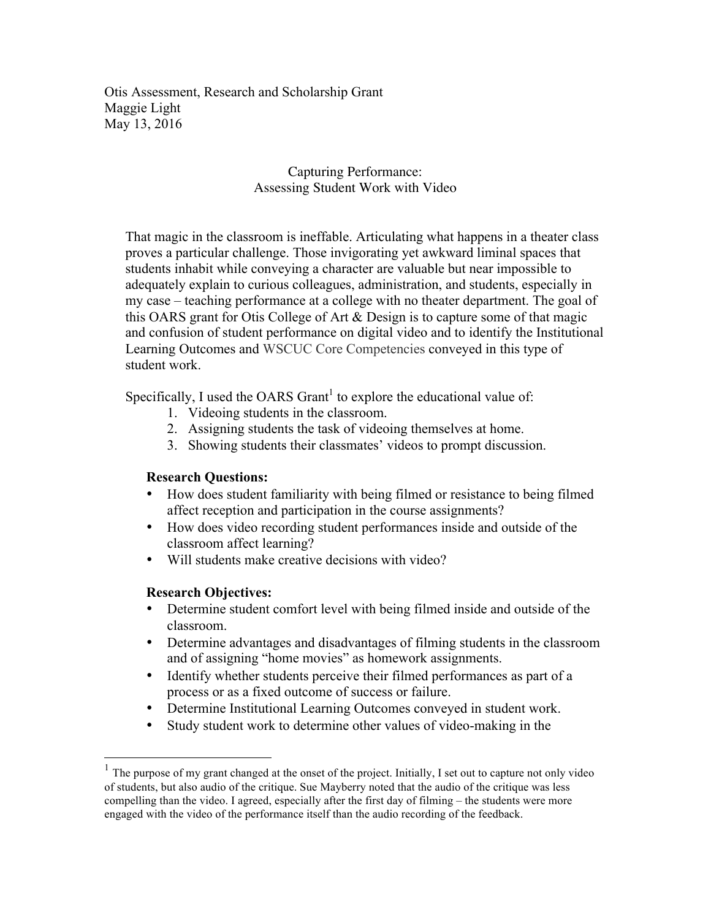Otis Assessment, Research and Scholarship Grant Maggie Light May 13, 2016

#### Capturing Performance: Assessing Student Work with Video

That magic in the classroom is ineffable. Articulating what happens in a theater class proves a particular challenge. Those invigorating yet awkward liminal spaces that students inhabit while conveying a character are valuable but near impossible to adequately explain to curious colleagues, administration, and students, especially in my case – teaching performance at a college with no theater department. The goal of this OARS grant for Otis College of Art & Design is to capture some of that magic and confusion of student performance on digital video and to identify the Institutional Learning Outcomes and WSCUC Core Competencies conveyed in this type of student work.

Specifically, I used the OARS Grant<sup>1</sup> to explore the educational value of:

- 1. Videoing students in the classroom.
- 2. Assigning students the task of videoing themselves at home.
- 3. Showing students their classmates' videos to prompt discussion.

### **Research Questions:**

- How does student familiarity with being filmed or resistance to being filmed affect reception and participation in the course assignments?
- How does video recording student performances inside and outside of the classroom affect learning?
- Will students make creative decisions with video?

### **Research Objectives:**

- Determine student comfort level with being filmed inside and outside of the classroom.
- Determine advantages and disadvantages of filming students in the classroom and of assigning "home movies" as homework assignments.
- Identify whether students perceive their filmed performances as part of a process or as a fixed outcome of success or failure.
- Determine Institutional Learning Outcomes conveyed in student work.
- Study student work to determine other values of video-making in the

 <sup>1</sup> The purpose of my grant changed at the onset of the project. Initially, I set out to capture not only video of students, but also audio of the critique. Sue Mayberry noted that the audio of the critique was less compelling than the video. I agreed, especially after the first day of filming – the students were more engaged with the video of the performance itself than the audio recording of the feedback.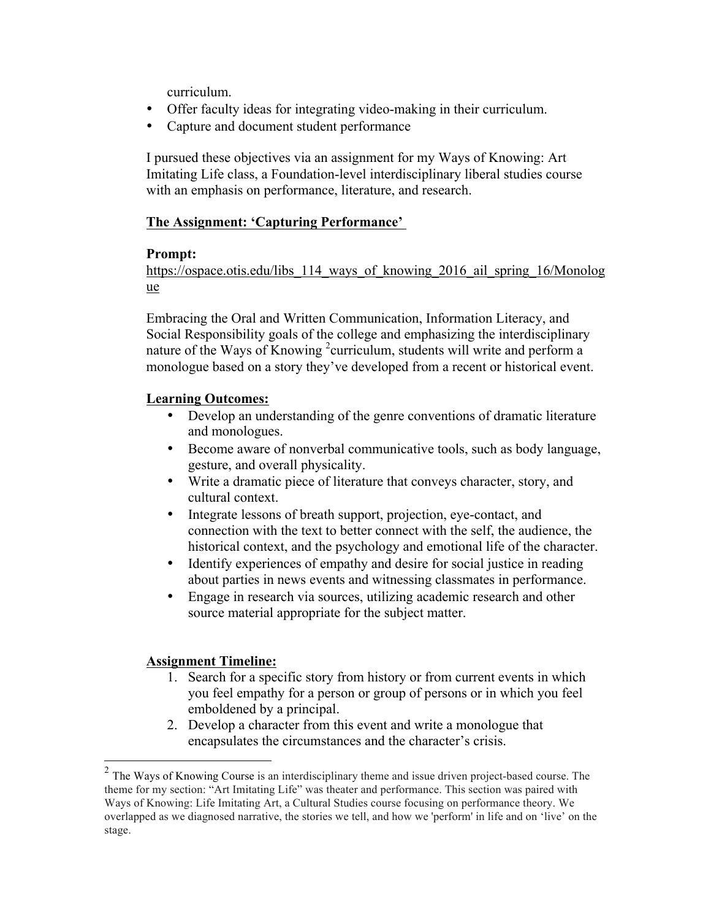curriculum.

- Offer faculty ideas for integrating video-making in their curriculum.
- Capture and document student performance

I pursued these objectives via an assignment for my Ways of Knowing: Art Imitating Life class, a Foundation-level interdisciplinary liberal studies course with an emphasis on performance, literature, and research.

### **The Assignment: 'Capturing Performance'**

### **Prompt:**

https://ospace.otis.edu/libs 114 ways of knowing 2016 ail spring 16/Monolog ue

Embracing the Oral and Written Communication, Information Literacy, and Social Responsibility goals of the college and emphasizing the interdisciplinary nature of the Ways of Knowing <sup>2</sup> curriculum, students will write and perform a monologue based on a story they've developed from a recent or historical event.

# **Learning Outcomes:**

- Develop an understanding of the genre conventions of dramatic literature and monologues.
- Become aware of nonverbal communicative tools, such as body language, gesture, and overall physicality.
- Write a dramatic piece of literature that conveys character, story, and cultural context.
- Integrate lessons of breath support, projection, eye-contact, and connection with the text to better connect with the self, the audience, the historical context, and the psychology and emotional life of the character.
- Identify experiences of empathy and desire for social justice in reading about parties in news events and witnessing classmates in performance.
- Engage in research via sources, utilizing academic research and other source material appropriate for the subject matter.

### **Assignment Timeline:**

- 1. Search for a specific story from history or from current events in which you feel empathy for a person or group of persons or in which you feel emboldened by a principal.
- 2. Develop a character from this event and write a monologue that encapsulates the circumstances and the character's crisis.

 <sup>2</sup> The Ways of Knowing Course is an interdisciplinary theme and issue driven project-based course. The theme for my section: "Art Imitating Life" was theater and performance. This section was paired with Ways of Knowing: Life Imitating Art, a Cultural Studies course focusing on performance theory. We overlapped as we diagnosed narrative, the stories we tell, and how we 'perform' in life and on 'live' on the stage.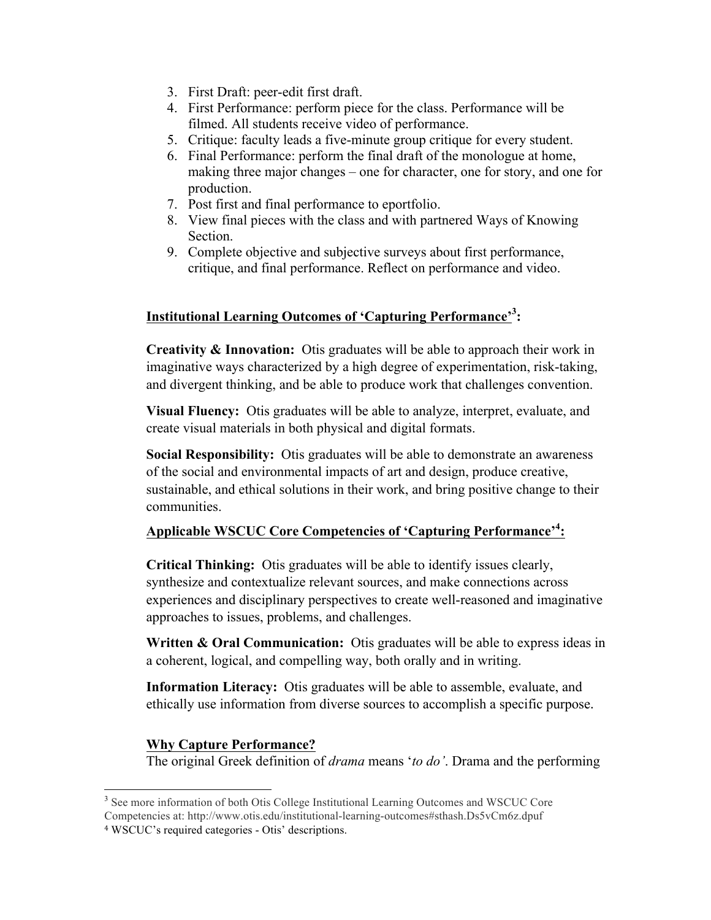- 3. First Draft: peer-edit first draft.
- 4. First Performance: perform piece for the class. Performance will be filmed. All students receive video of performance.
- 5. Critique: faculty leads a five-minute group critique for every student.
- 6. Final Performance: perform the final draft of the monologue at home, making three major changes – one for character, one for story, and one for production.
- 7. Post first and final performance to eportfolio.
- 8. View final pieces with the class and with partnered Ways of Knowing Section.
- 9. Complete objective and subjective surveys about first performance, critique, and final performance. Reflect on performance and video.

# **Institutional Learning Outcomes of 'Capturing Performance'3 :**

**Creativity & Innovation:** Otis graduates will be able to approach their work in imaginative ways characterized by a high degree of experimentation, risk-taking, and divergent thinking, and be able to produce work that challenges convention.

**Visual Fluency:** Otis graduates will be able to analyze, interpret, evaluate, and create visual materials in both physical and digital formats.

**Social Responsibility:** Otis graduates will be able to demonstrate an awareness of the social and environmental impacts of art and design, produce creative, sustainable, and ethical solutions in their work, and bring positive change to their communities.

# **Applicable WSCUC Core Competencies of 'Capturing Performance'4 :**

**Critical Thinking:** Otis graduates will be able to identify issues clearly, synthesize and contextualize relevant sources, and make connections across experiences and disciplinary perspectives to create well-reasoned and imaginative approaches to issues, problems, and challenges.

**Written & Oral Communication:** Otis graduates will be able to express ideas in a coherent, logical, and compelling way, both orally and in writing.

**Information Literacy:** Otis graduates will be able to assemble, evaluate, and ethically use information from diverse sources to accomplish a specific purpose.

### **Why Capture Performance?**

The original Greek definition of *drama* means '*to do'*. Drama and the performing

<sup>&</sup>lt;sup>3</sup> See more information of both Otis College Institutional Learning Outcomes and WSCUC Core

Competencies at: http://www.otis.edu/institutional-learning-outcomes#sthash.Ds5vCm6z.dpuf <sup>4</sup> WSCUC's required categories - Otis' descriptions.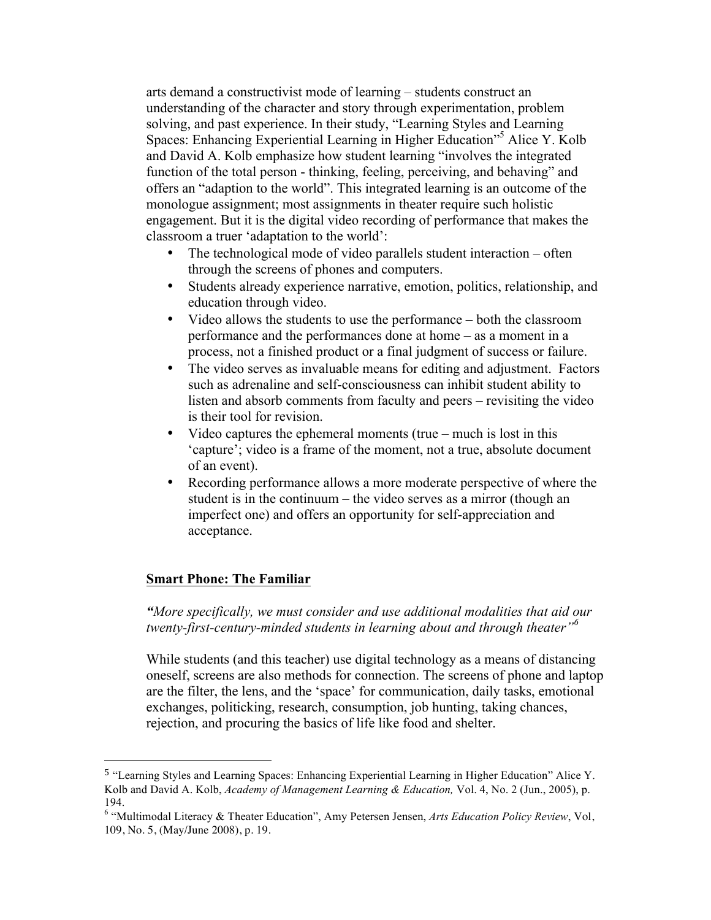arts demand a constructivist mode of learning – students construct an understanding of the character and story through experimentation, problem solving, and past experience. In their study, "Learning Styles and Learning Spaces: Enhancing Experiential Learning in Higher Education"<sup>5</sup> Alice Y. Kolb and David A. Kolb emphasize how student learning "involves the integrated function of the total person - thinking, feeling, perceiving, and behaving" and offers an "adaption to the world". This integrated learning is an outcome of the monologue assignment; most assignments in theater require such holistic engagement. But it is the digital video recording of performance that makes the classroom a truer 'adaptation to the world':

- The technological mode of video parallels student interaction often through the screens of phones and computers.
- Students already experience narrative, emotion, politics, relationship, and education through video.
- Video allows the students to use the performance both the classroom performance and the performances done at home – as a moment in a process, not a finished product or a final judgment of success or failure.
- The video serves as invaluable means for editing and adjustment. Factors such as adrenaline and self-consciousness can inhibit student ability to listen and absorb comments from faculty and peers – revisiting the video is their tool for revision.
- Video captures the ephemeral moments (true much is lost in this 'capture'; video is a frame of the moment, not a true, absolute document of an event).
- Recording performance allows a more moderate perspective of where the student is in the continuum – the video serves as a mirror (though an imperfect one) and offers an opportunity for self-appreciation and acceptance.

#### **Smart Phone: The Familiar**

 

*"More specifically, we must consider and use additional modalities that aid our twenty-first-century-minded students in learning about and through theater"<sup>6</sup>*

While students (and this teacher) use digital technology as a means of distancing oneself, screens are also methods for connection. The screens of phone and laptop are the filter, the lens, and the 'space' for communication, daily tasks, emotional exchanges, politicking, research, consumption, job hunting, taking chances, rejection, and procuring the basics of life like food and shelter.

<sup>5</sup> "Learning Styles and Learning Spaces: Enhancing Experiential Learning in Higher Education" Alice Y. Kolb and David A. Kolb, *Academy of Management Learning & Education,* Vol. 4, No. 2 (Jun., 2005), p. 194.

<sup>6</sup> "Multimodal Literacy & Theater Education", Amy Petersen Jensen, *Arts Education Policy Review*, Vol, 109, No. 5, (May/June 2008), p. 19.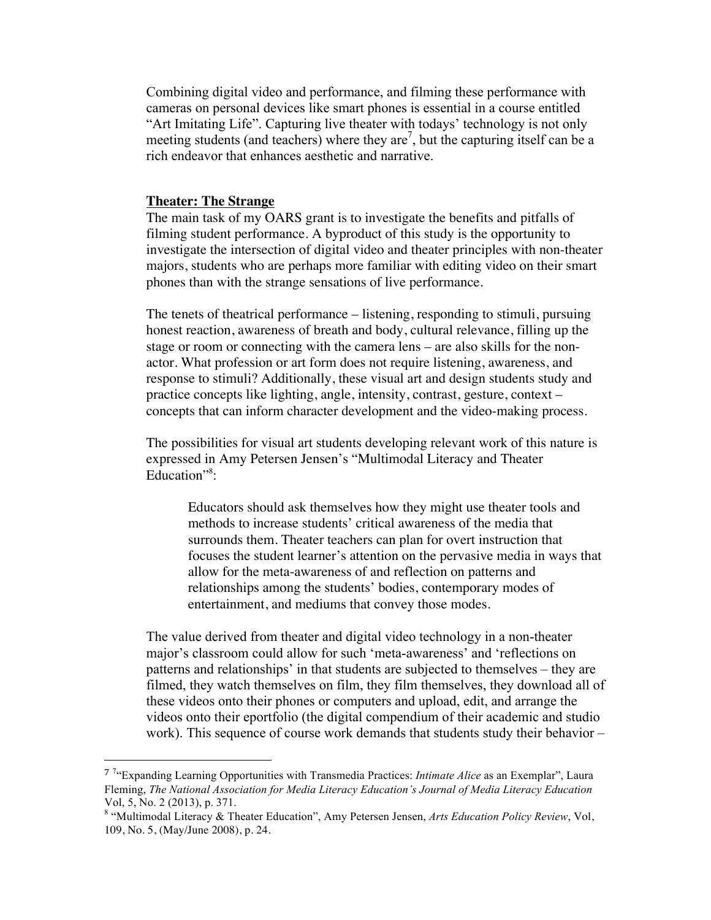Combining digital video and performance, and filming these performance with cameras on personal devices like smart phones is essential in a course entitled "Art Imitating Life". Capturing live theater with todays' technology is not only meeting students (and teachers) where they are<sup>7</sup>, but the capturing itself can be a rich endeavor that enhances aesthetic and narrative.

#### **Theater: The Strange**

 

The main task of my OARS grant is to investigate the benefits and pitfalls of filming student performance. A byproduct of this study is the opportunity to investigate the intersection of digital video and theater principles with non-theater majors, students who are perhaps more familiar with editing video on their smart phones than with the strange sensations of live performance.

The tenets of theatrical performance – listening, responding to stimuli, pursuing honest reaction, awareness of breath and body, cultural relevance, filling up the stage or room or connecting with the camera lens – are also skills for the nonactor. What profession or art form does not require listening, awareness, and response to stimuli? Additionally, these visual art and design students study and practice concepts like lighting, angle, intensity, contrast, gesture, context – concepts that can inform character development and the video-making process.

The possibilities for visual art students developing relevant work of this nature is expressed in Amy Petersen Jensen's "Multimodal Literacy and Theater Education"<sup>8</sup>:

Educators should ask themselves how they might use theater tools and methods to increase students' critical awareness of the media that surrounds them. Theater teachers can plan for overt instruction that focuses the student learner's attention on the pervasive media in ways that allow for the meta-awareness of and reflection on patterns and relationships among the students' bodies, contemporary modes of entertainment, and mediums that convey those modes.

The value derived from theater and digital video technology in a non-theater major's classroom could allow for such 'meta-awareness' and 'reflections on patterns and relationships' in that students are subjected to themselves – they are filmed, they watch themselves on film, they film themselves, they download all of these videos onto their phones or computers and upload, edit, and arrange the videos onto their eportfolio (the digital compendium of their academic and studio work). This sequence of course work demands that students study their behavior –

<sup>7</sup> 7 "Expanding Learning Opportunities with Transmedia Practices: *Intimate Alice* as an Exemplar", Laura Fleming, *The National Association for Media Literacy Education's Journal of Media Literacy Education* Vol, 5, No. 2 (2013), p. 371.

<sup>8</sup> "Multimodal Literacy & Theater Education", Amy Petersen Jensen, *Arts Education Policy Review*, Vol, 109, No. 5, (May/June 2008), p. 24.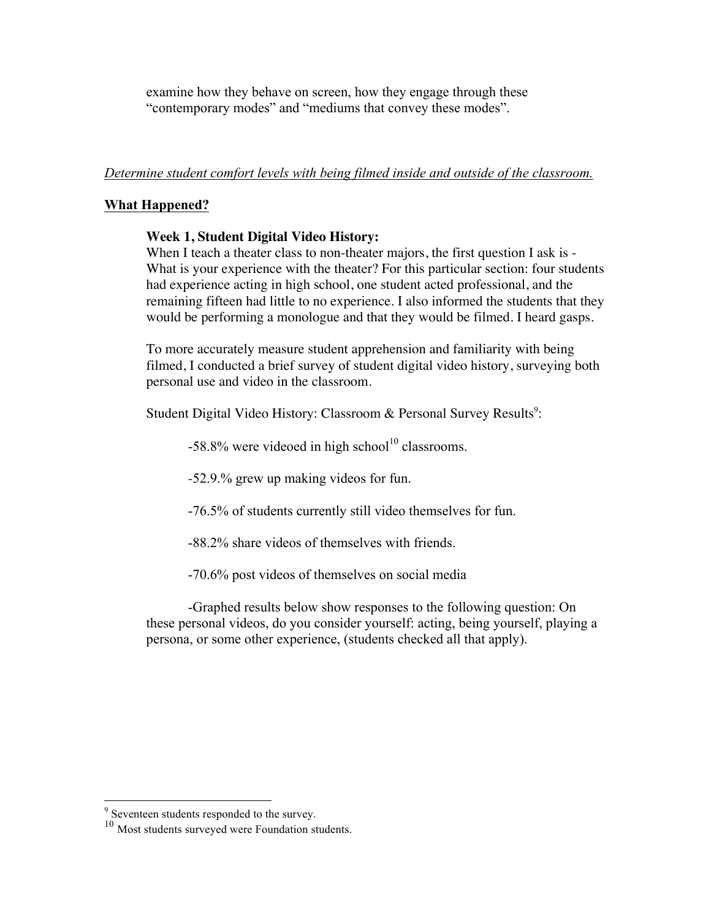examine how they behave on screen, how they engage through these "contemporary modes" and "mediums that convey these modes".

### *Determine student comfort levels with being filmed inside and outside of the classroom.*

### **What Happened?**

### **Week 1, Student Digital Video History:**

When I teach a theater class to non-theater majors, the first question I ask is -What is your experience with the theater? For this particular section: four students had experience acting in high school, one student acted professional, and the remaining fifteen had little to no experience. I also informed the students that they would be performing a monologue and that they would be filmed. I heard gasps.

To more accurately measure student apprehension and familiarity with being filmed, I conducted a brief survey of student digital video history, surveying both personal use and video in the classroom.

Student Digital Video History: Classroom & Personal Survey Results<sup>9</sup>:

 $-58.8\%$  were videoed in high school<sup>10</sup> classrooms.

-52.9.% grew up making videos for fun.

-76.5% of students currently still video themselves for fun.

-88.2% share videos of themselves with friends.

-70.6% post videos of themselves on social media

-Graphed results below show responses to the following question: On these personal videos, do you consider yourself: acting, being yourself, playing a persona, or some other experience, (students checked all that apply).

 <sup>9</sup> Seventeen students responded to the survey.

<sup>&</sup>lt;sup>10</sup> Most students surveyed were Foundation students.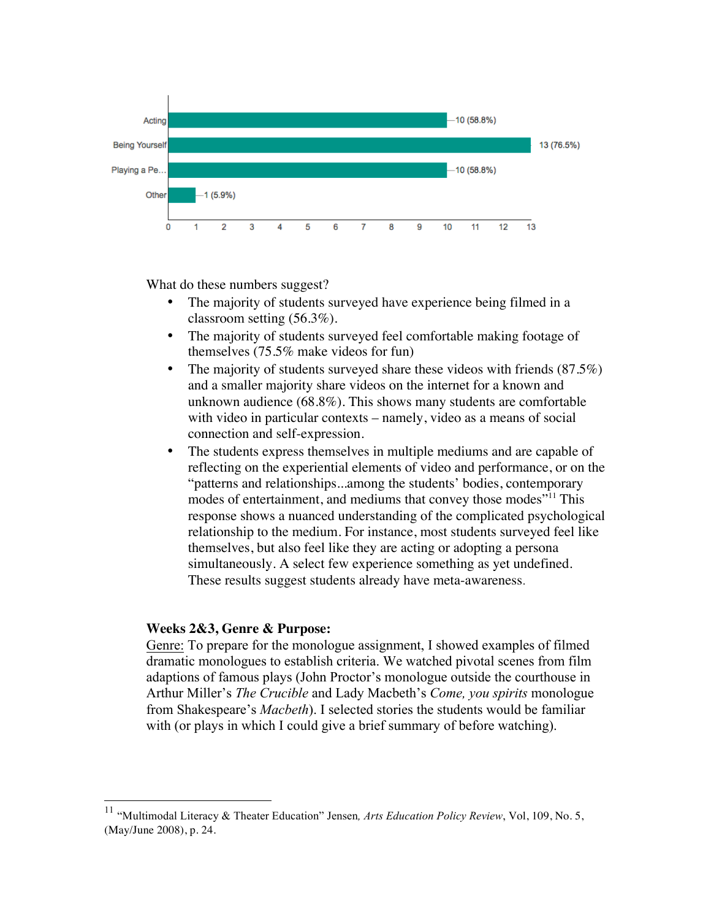

What do these numbers suggest?

- The majority of students surveyed have experience being filmed in a classroom setting (56.3%).
- The majority of students surveyed feel comfortable making footage of themselves (75.5% make videos for fun)
- The majority of students surveyed share these videos with friends  $(87.5\%)$ and a smaller majority share videos on the internet for a known and unknown audience (68.8%). This shows many students are comfortable with video in particular contexts – namely, video as a means of social connection and self-expression.
- The students express themselves in multiple mediums and are capable of reflecting on the experiential elements of video and performance, or on the "patterns and relationships...among the students' bodies, contemporary modes of entertainment, and mediums that convey those modes"<sup>11</sup> This response shows a nuanced understanding of the complicated psychological relationship to the medium. For instance, most students surveyed feel like themselves, but also feel like they are acting or adopting a persona simultaneously. A select few experience something as yet undefined. These results suggest students already have meta-awareness.

#### **Weeks 2&3, Genre & Purpose:**

Genre: To prepare for the monologue assignment, I showed examples of filmed dramatic monologues to establish criteria. We watched pivotal scenes from film adaptions of famous plays (John Proctor's monologue outside the courthouse in Arthur Miller's *The Crucible* and Lady Macbeth's *Come, you spirits* monologue from Shakespeare's *Macbeth*). I selected stories the students would be familiar with (or plays in which I could give a brief summary of before watching).

 <sup>11</sup> "Multimodal Literacy & Theater Education" Jensen*, Arts Education Policy Review*, Vol, 109, No. 5, (May/June 2008), p. 24.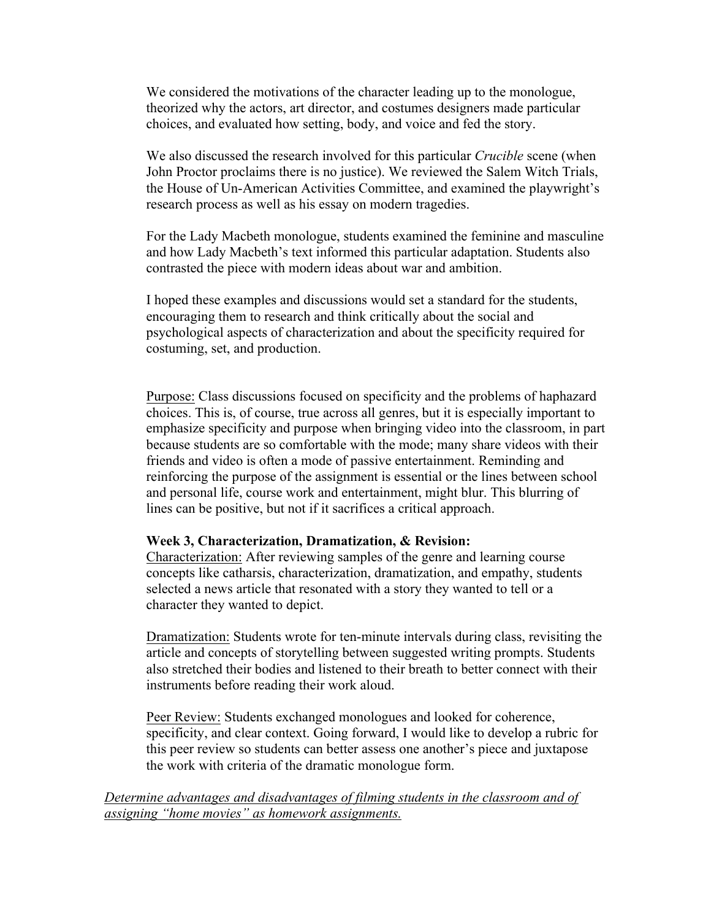We considered the motivations of the character leading up to the monologue, theorized why the actors, art director, and costumes designers made particular choices, and evaluated how setting, body, and voice and fed the story.

We also discussed the research involved for this particular *Crucible* scene (when John Proctor proclaims there is no justice). We reviewed the Salem Witch Trials, the House of Un-American Activities Committee, and examined the playwright's research process as well as his essay on modern tragedies.

For the Lady Macbeth monologue, students examined the feminine and masculine and how Lady Macbeth's text informed this particular adaptation. Students also contrasted the piece with modern ideas about war and ambition.

I hoped these examples and discussions would set a standard for the students, encouraging them to research and think critically about the social and psychological aspects of characterization and about the specificity required for costuming, set, and production.

Purpose: Class discussions focused on specificity and the problems of haphazard choices. This is, of course, true across all genres, but it is especially important to emphasize specificity and purpose when bringing video into the classroom, in part because students are so comfortable with the mode; many share videos with their friends and video is often a mode of passive entertainment. Reminding and reinforcing the purpose of the assignment is essential or the lines between school and personal life, course work and entertainment, might blur. This blurring of lines can be positive, but not if it sacrifices a critical approach.

#### **Week 3, Characterization, Dramatization, & Revision:**

Characterization: After reviewing samples of the genre and learning course concepts like catharsis, characterization, dramatization, and empathy, students selected a news article that resonated with a story they wanted to tell or a character they wanted to depict.

Dramatization: Students wrote for ten-minute intervals during class, revisiting the article and concepts of storytelling between suggested writing prompts. Students also stretched their bodies and listened to their breath to better connect with their instruments before reading their work aloud.

Peer Review: Students exchanged monologues and looked for coherence, specificity, and clear context. Going forward, I would like to develop a rubric for this peer review so students can better assess one another's piece and juxtapose the work with criteria of the dramatic monologue form.

*Determine advantages and disadvantages of filming students in the classroom and of assigning "home movies" as homework assignments.*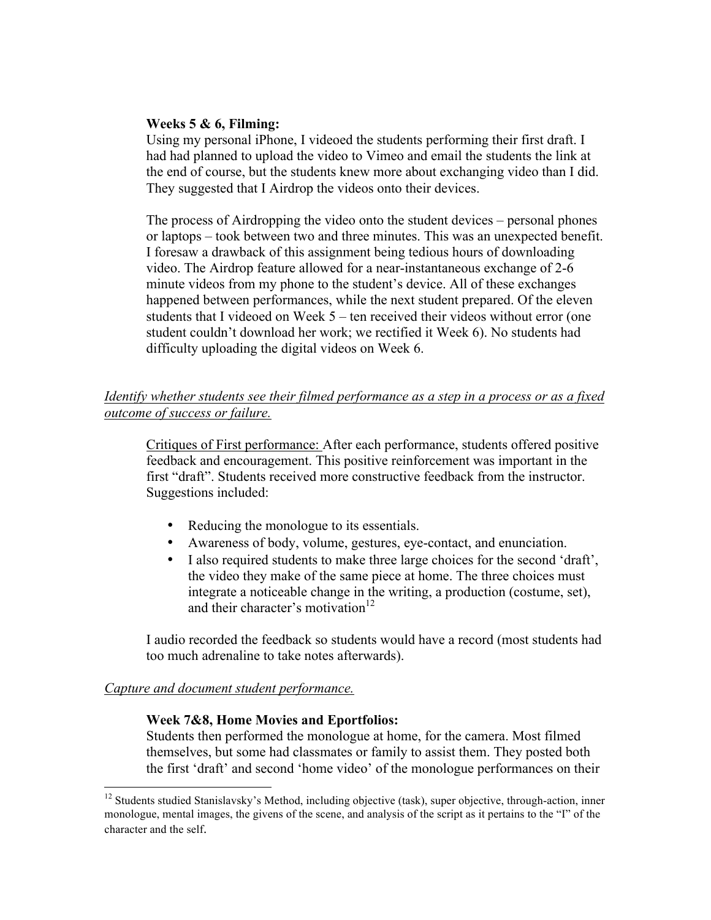#### **Weeks 5 & 6, Filming:**

Using my personal iPhone, I videoed the students performing their first draft. I had had planned to upload the video to Vimeo and email the students the link at the end of course, but the students knew more about exchanging video than I did. They suggested that I Airdrop the videos onto their devices.

The process of Airdropping the video onto the student devices – personal phones or laptops – took between two and three minutes. This was an unexpected benefit. I foresaw a drawback of this assignment being tedious hours of downloading video. The Airdrop feature allowed for a near-instantaneous exchange of 2-6 minute videos from my phone to the student's device. All of these exchanges happened between performances, while the next student prepared. Of the eleven students that I videoed on Week 5 – ten received their videos without error (one student couldn't download her work; we rectified it Week 6). No students had difficulty uploading the digital videos on Week 6.

# *Identify whether students see their filmed performance as a step in a process or as a fixed outcome of success or failure.*

Critiques of First performance: After each performance, students offered positive feedback and encouragement. This positive reinforcement was important in the first "draft". Students received more constructive feedback from the instructor. Suggestions included:

- Reducing the monologue to its essentials.
- Awareness of body, volume, gestures, eye-contact, and enunciation.
- I also required students to make three large choices for the second 'draft', the video they make of the same piece at home. The three choices must integrate a noticeable change in the writing, a production (costume, set), and their character's motivation $12$

I audio recorded the feedback so students would have a record (most students had too much adrenaline to take notes afterwards).

#### *Capture and document student performance.*

#### **Week 7&8, Home Movies and Eportfolios:**

Students then performed the monologue at home, for the camera. Most filmed themselves, but some had classmates or family to assist them. They posted both the first 'draft' and second 'home video' of the monologue performances on their

<sup>&</sup>lt;sup>12</sup> Students studied Stanislavsky's Method, including objective (task), super objective, through-action, inner monologue, mental images, the givens of the scene, and analysis of the script as it pertains to the "I" of the character and the self.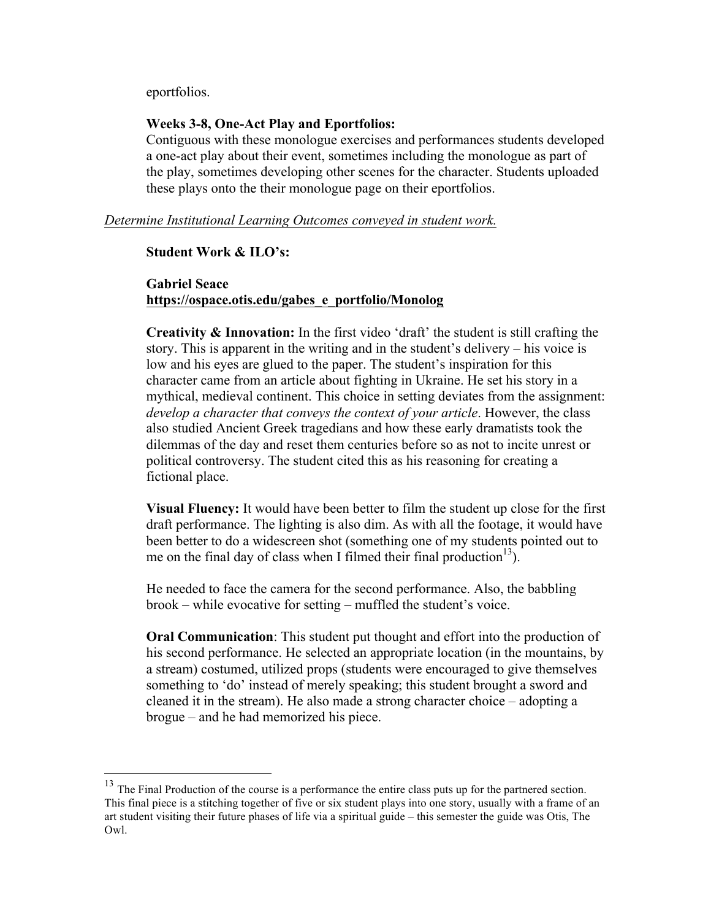eportfolios.

#### **Weeks 3-8, One-Act Play and Eportfolios:**

Contiguous with these monologue exercises and performances students developed a one-act play about their event, sometimes including the monologue as part of the play, sometimes developing other scenes for the character. Students uploaded these plays onto the their monologue page on their eportfolios.

*Determine Institutional Learning Outcomes conveyed in student work.* 

#### **Student Work & ILO's:**

### **Gabriel Seace https://ospace.otis.edu/gabes\_e\_portfolio/Monolog**

**Creativity & Innovation:** In the first video 'draft' the student is still crafting the story. This is apparent in the writing and in the student's delivery – his voice is low and his eyes are glued to the paper. The student's inspiration for this character came from an article about fighting in Ukraine. He set his story in a mythical, medieval continent. This choice in setting deviates from the assignment: *develop a character that conveys the context of your article*. However, the class also studied Ancient Greek tragedians and how these early dramatists took the dilemmas of the day and reset them centuries before so as not to incite unrest or political controversy. The student cited this as his reasoning for creating a fictional place.

**Visual Fluency:** It would have been better to film the student up close for the first draft performance. The lighting is also dim. As with all the footage, it would have been better to do a widescreen shot (something one of my students pointed out to me on the final day of class when I filmed their final production<sup>13</sup>).

He needed to face the camera for the second performance. Also, the babbling brook – while evocative for setting – muffled the student's voice.

**Oral Communication**: This student put thought and effort into the production of his second performance. He selected an appropriate location (in the mountains, by a stream) costumed, utilized props (students were encouraged to give themselves something to 'do' instead of merely speaking; this student brought a sword and cleaned it in the stream). He also made a strong character choice – adopting a brogue – and he had memorized his piece.

<sup>&</sup>lt;sup>13</sup> The Final Production of the course is a performance the entire class puts up for the partnered section. This final piece is a stitching together of five or six student plays into one story, usually with a frame of an art student visiting their future phases of life via a spiritual guide – this semester the guide was Otis, The Owl.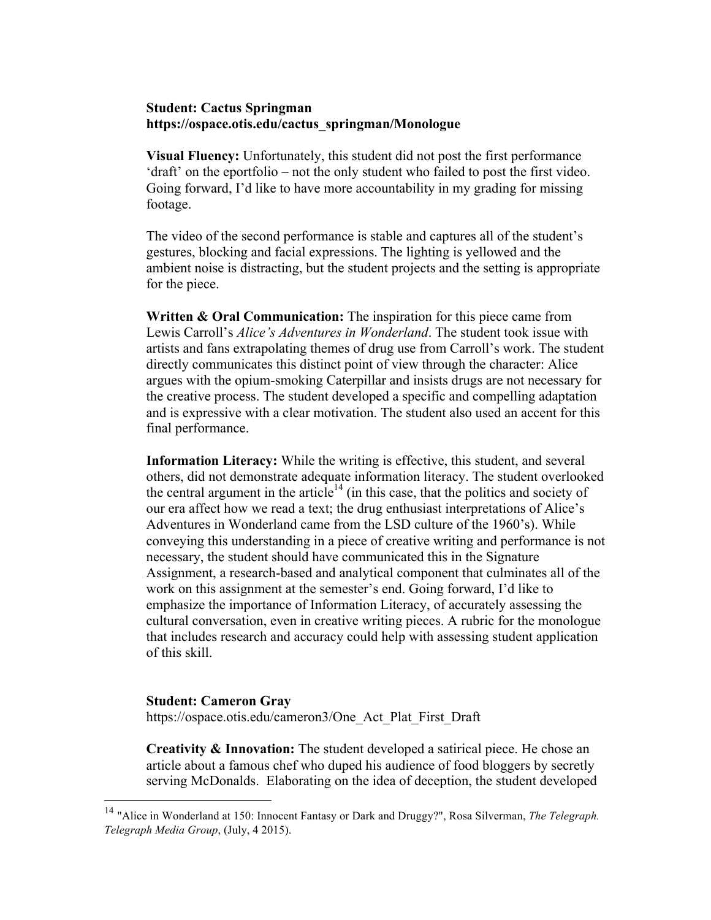#### **Student: Cactus Springman https://ospace.otis.edu/cactus\_springman/Monologue**

**Visual Fluency:** Unfortunately, this student did not post the first performance 'draft' on the eportfolio – not the only student who failed to post the first video. Going forward, I'd like to have more accountability in my grading for missing footage.

The video of the second performance is stable and captures all of the student's gestures, blocking and facial expressions. The lighting is yellowed and the ambient noise is distracting, but the student projects and the setting is appropriate for the piece.

**Written & Oral Communication:** The inspiration for this piece came from Lewis Carroll's *Alice's Adventures in Wonderland*. The student took issue with artists and fans extrapolating themes of drug use from Carroll's work. The student directly communicates this distinct point of view through the character: Alice argues with the opium-smoking Caterpillar and insists drugs are not necessary for the creative process. The student developed a specific and compelling adaptation and is expressive with a clear motivation. The student also used an accent for this final performance.

**Information Literacy:** While the writing is effective, this student, and several others, did not demonstrate adequate information literacy. The student overlooked the central argument in the article<sup>14</sup> (in this case, that the politics and society of our era affect how we read a text; the drug enthusiast interpretations of Alice's Adventures in Wonderland came from the LSD culture of the 1960's). While conveying this understanding in a piece of creative writing and performance is not necessary, the student should have communicated this in the Signature Assignment, a research-based and analytical component that culminates all of the work on this assignment at the semester's end. Going forward, I'd like to emphasize the importance of Information Literacy, of accurately assessing the cultural conversation, even in creative writing pieces. A rubric for the monologue that includes research and accuracy could help with assessing student application of this skill.

#### **Student: Cameron Gray**

https://ospace.otis.edu/cameron3/One\_Act\_Plat\_First\_Draft

**Creativity & Innovation:** The student developed a satirical piece. He chose an article about a famous chef who duped his audience of food bloggers by secretly serving McDonalds. Elaborating on the idea of deception, the student developed

 <sup>14</sup> "Alice in Wonderland at 150: Innocent Fantasy or Dark and Druggy?", Rosa Silverman, *The Telegraph. Telegraph Media Group*, (July, 4 2015).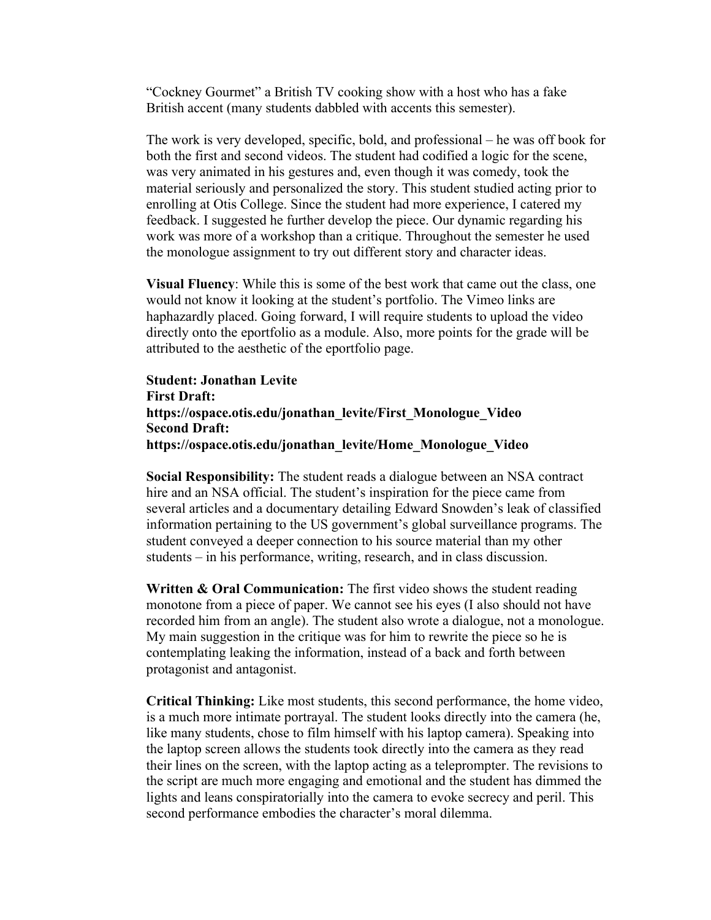"Cockney Gourmet" a British TV cooking show with a host who has a fake British accent (many students dabbled with accents this semester).

The work is very developed, specific, bold, and professional – he was off book for both the first and second videos. The student had codified a logic for the scene, was very animated in his gestures and, even though it was comedy, took the material seriously and personalized the story. This student studied acting prior to enrolling at Otis College. Since the student had more experience, I catered my feedback. I suggested he further develop the piece. Our dynamic regarding his work was more of a workshop than a critique. Throughout the semester he used the monologue assignment to try out different story and character ideas.

**Visual Fluency**: While this is some of the best work that came out the class, one would not know it looking at the student's portfolio. The Vimeo links are haphazardly placed. Going forward, I will require students to upload the video directly onto the eportfolio as a module. Also, more points for the grade will be attributed to the aesthetic of the eportfolio page.

**Student: Jonathan Levite First Draft: https://ospace.otis.edu/jonathan\_levite/First\_Monologue\_Video Second Draft: https://ospace.otis.edu/jonathan\_levite/Home\_Monologue\_Video**

**Social Responsibility:** The student reads a dialogue between an NSA contract hire and an NSA official. The student's inspiration for the piece came from several articles and a documentary detailing Edward Snowden's leak of classified information pertaining to the US government's global surveillance programs. The student conveyed a deeper connection to his source material than my other students – in his performance, writing, research, and in class discussion.

**Written & Oral Communication:** The first video shows the student reading monotone from a piece of paper. We cannot see his eyes (I also should not have recorded him from an angle). The student also wrote a dialogue, not a monologue. My main suggestion in the critique was for him to rewrite the piece so he is contemplating leaking the information, instead of a back and forth between protagonist and antagonist.

**Critical Thinking:** Like most students, this second performance, the home video, is a much more intimate portrayal. The student looks directly into the camera (he, like many students, chose to film himself with his laptop camera). Speaking into the laptop screen allows the students took directly into the camera as they read their lines on the screen, with the laptop acting as a teleprompter. The revisions to the script are much more engaging and emotional and the student has dimmed the lights and leans conspiratorially into the camera to evoke secrecy and peril. This second performance embodies the character's moral dilemma.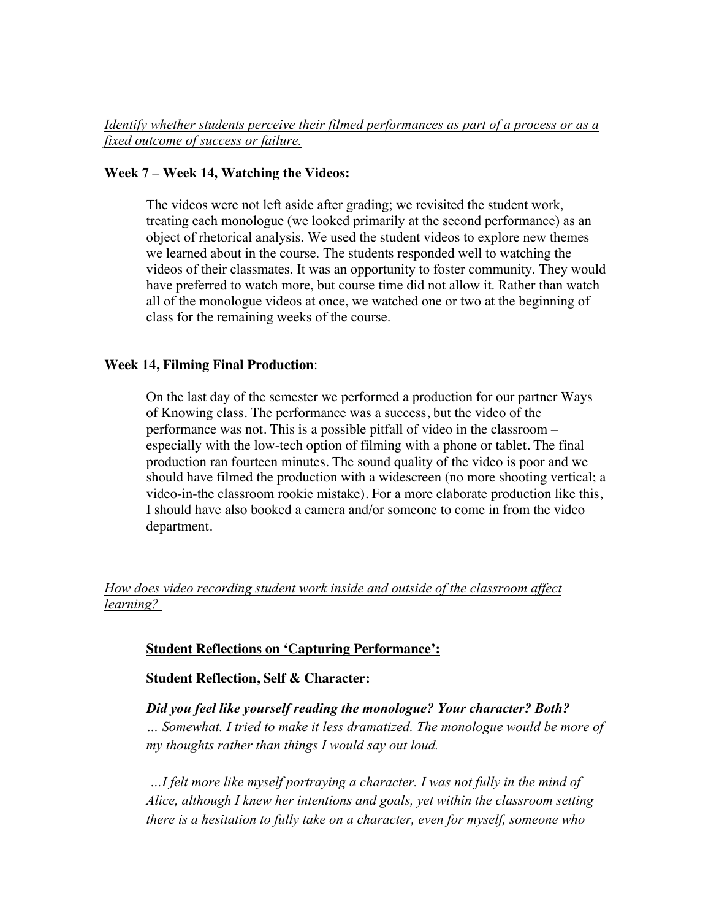### **Week 7 – Week 14, Watching the Videos:**

The videos were not left aside after grading; we revisited the student work, treating each monologue (we looked primarily at the second performance) as an object of rhetorical analysis. We used the student videos to explore new themes we learned about in the course. The students responded well to watching the videos of their classmates. It was an opportunity to foster community. They would have preferred to watch more, but course time did not allow it. Rather than watch all of the monologue videos at once, we watched one or two at the beginning of class for the remaining weeks of the course.

### **Week 14, Filming Final Production**:

On the last day of the semester we performed a production for our partner Ways of Knowing class. The performance was a success, but the video of the performance was not. This is a possible pitfall of video in the classroom – especially with the low-tech option of filming with a phone or tablet. The final production ran fourteen minutes. The sound quality of the video is poor and we should have filmed the production with a widescreen (no more shooting vertical; a video-in-the classroom rookie mistake). For a more elaborate production like this, I should have also booked a camera and/or someone to come in from the video department.

# *How does video recording student work inside and outside of the classroom affect learning?*

### **Student Reflections on 'Capturing Performance':**

**Student Reflection, Self & Character:** 

# *Did you feel like yourself reading the monologue? Your character? Both? … Somewhat. I tried to make it less dramatized. The monologue would be more of my thoughts rather than things I would say out loud.*

*…I felt more like myself portraying a character. I was not fully in the mind of Alice, although I knew her intentions and goals, yet within the classroom setting there is a hesitation to fully take on a character, even for myself, someone who*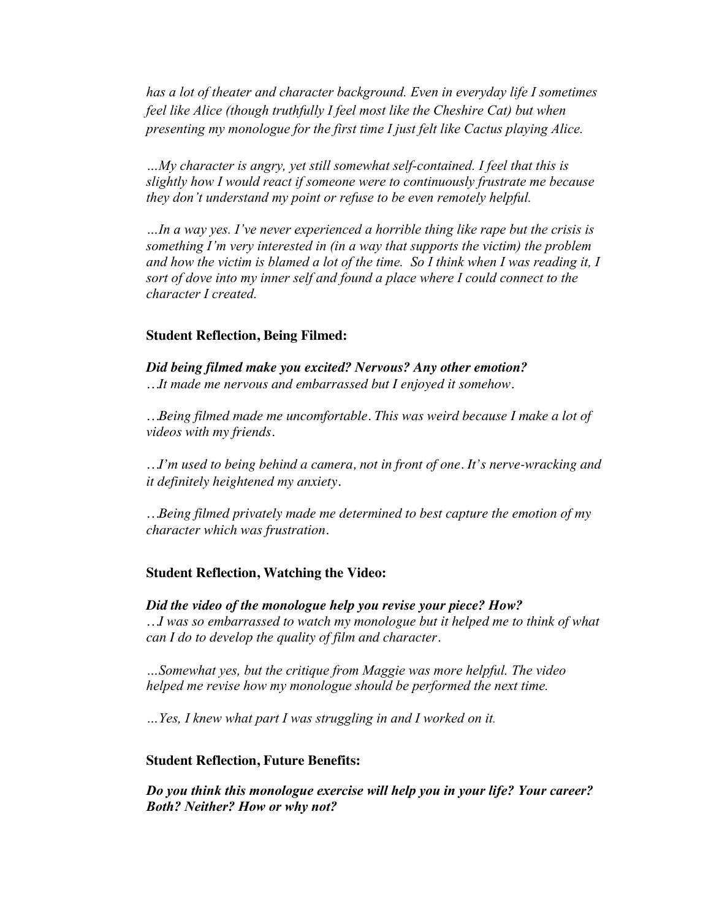*has a lot of theater and character background. Even in everyday life I sometimes feel like Alice (though truthfully I feel most like the Cheshire Cat) but when presenting my monologue for the first time I just felt like Cactus playing Alice.*

*…My character is angry, yet still somewhat self-contained. I feel that this is slightly how I would react if someone were to continuously frustrate me because they don't understand my point or refuse to be even remotely helpful.*

*…In a way yes. I've never experienced a horrible thing like rape but the crisis is something I'm very interested in (in a way that supports the victim) the problem and how the victim is blamed a lot of the time. So I think when I was reading it, I sort of dove into my inner self and found a place where I could connect to the character I created.*

#### **Student Reflection, Being Filmed:**

*Did being filmed make you excited? Nervous? Any other emotion? …It made me nervous and embarrassed but I enjoyed it somehow.*

*…Being filmed made me uncomfortable. This was weird because I make a lot of videos with my friends.*

*…I'm used to being behind a camera, not in front of one. It's nerve-wracking and it definitely heightened my anxiety.*

*…Being filmed privately made me determined to best capture the emotion of my character which was frustration.* 

#### **Student Reflection, Watching the Video:**

*Did the video of the monologue help you revise your piece? How? …I was so embarrassed to watch my monologue but it helped me to think of what can I do to develop the quality of film and character.*

*…Somewhat yes, but the critique from Maggie was more helpful. The video helped me revise how my monologue should be performed the next time.* 

*…Yes, I knew what part I was struggling in and I worked on it.*

#### **Student Reflection, Future Benefits:**

*Do you think this monologue exercise will help you in your life? Your career? Both? Neither? How or why not?*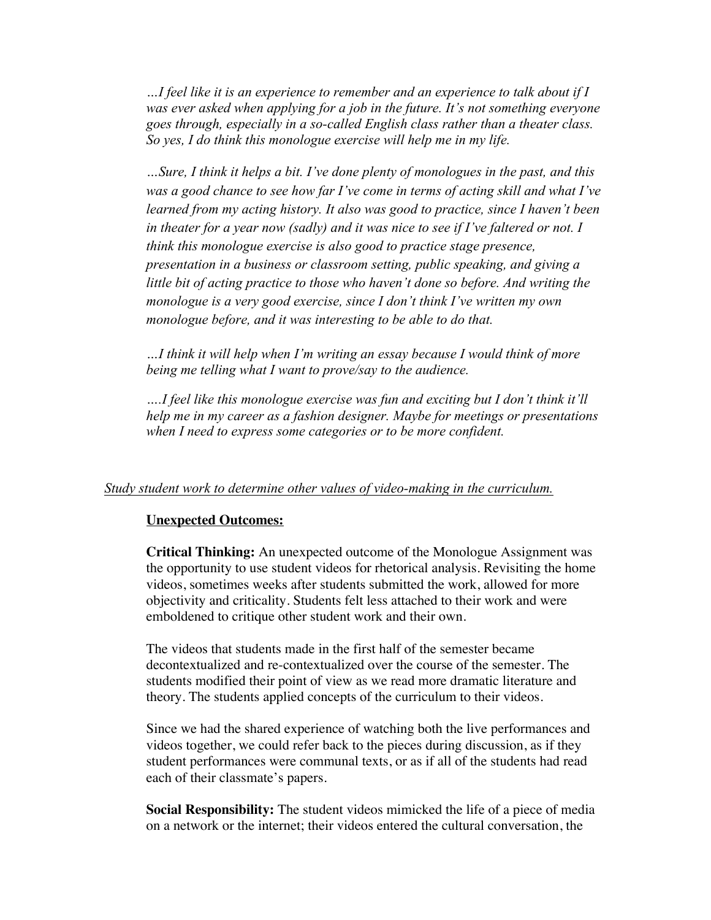*…I feel like it is an experience to remember and an experience to talk about if I was ever asked when applying for a job in the future. It's not something everyone goes through, especially in a so-called English class rather than a theater class. So yes, I do think this monologue exercise will help me in my life.* 

*…Sure, I think it helps a bit. I've done plenty of monologues in the past, and this was a good chance to see how far I've come in terms of acting skill and what I've learned from my acting history. It also was good to practice, since I haven't been in theater for a year now (sadly) and it was nice to see if I've faltered or not. I think this monologue exercise is also good to practice stage presence, presentation in a business or classroom setting, public speaking, and giving a little bit of acting practice to those who haven't done so before. And writing the monologue is a very good exercise, since I don't think I've written my own monologue before, and it was interesting to be able to do that.*

*…I think it will help when I'm writing an essay because I would think of more being me telling what I want to prove/say to the audience.* 

*….I feel like this monologue exercise was fun and exciting but I don't think it'll help me in my career as a fashion designer. Maybe for meetings or presentations when I need to express some categories or to be more confident.*

#### *Study student work to determine other values of video-making in the curriculum.*

#### **Unexpected Outcomes:**

**Critical Thinking:** An unexpected outcome of the Monologue Assignment was the opportunity to use student videos for rhetorical analysis. Revisiting the home videos, sometimes weeks after students submitted the work, allowed for more objectivity and criticality. Students felt less attached to their work and were emboldened to critique other student work and their own.

The videos that students made in the first half of the semester became decontextualized and re-contextualized over the course of the semester. The students modified their point of view as we read more dramatic literature and theory. The students applied concepts of the curriculum to their videos.

Since we had the shared experience of watching both the live performances and videos together, we could refer back to the pieces during discussion, as if they student performances were communal texts, or as if all of the students had read each of their classmate's papers.

**Social Responsibility:** The student videos mimicked the life of a piece of media on a network or the internet; their videos entered the cultural conversation, the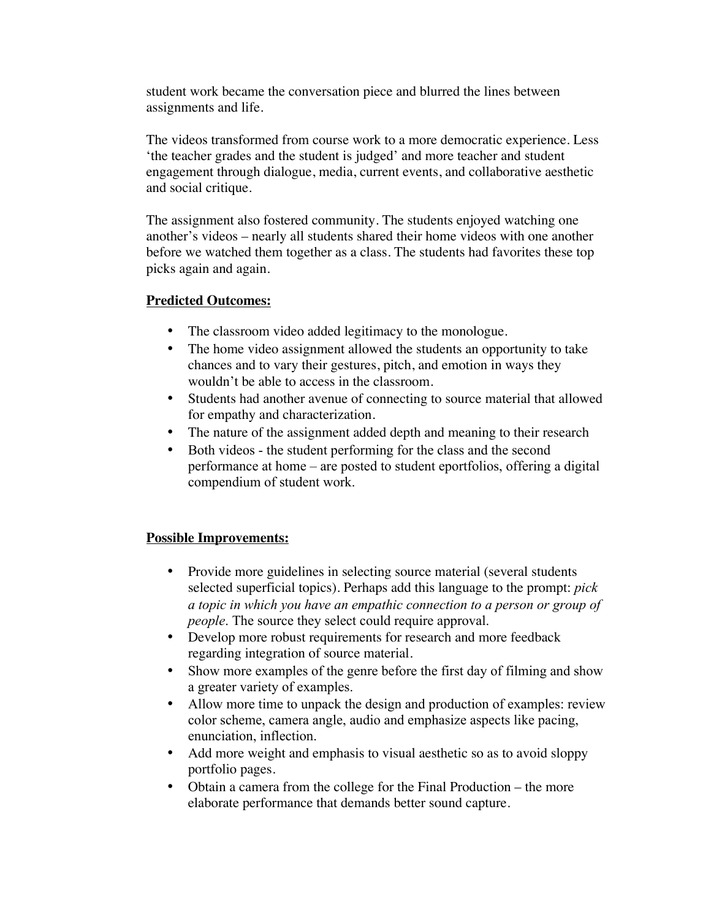student work became the conversation piece and blurred the lines between assignments and life.

The videos transformed from course work to a more democratic experience. Less 'the teacher grades and the student is judged' and more teacher and student engagement through dialogue, media, current events, and collaborative aesthetic and social critique.

The assignment also fostered community. The students enjoyed watching one another's videos – nearly all students shared their home videos with one another before we watched them together as a class. The students had favorites these top picks again and again.

# **Predicted Outcomes:**

- The classroom video added legitimacy to the monologue.
- The home video assignment allowed the students an opportunity to take chances and to vary their gestures, pitch, and emotion in ways they wouldn't be able to access in the classroom.
- Students had another avenue of connecting to source material that allowed for empathy and characterization.
- The nature of the assignment added depth and meaning to their research
- Both videos the student performing for the class and the second performance at home – are posted to student eportfolios, offering a digital compendium of student work.

### **Possible Improvements:**

- Provide more guidelines in selecting source material (several students selected superficial topics). Perhaps add this language to the prompt: *pick a topic in which you have an empathic connection to a person or group of people*. The source they select could require approval.
- Develop more robust requirements for research and more feedback regarding integration of source material.
- Show more examples of the genre before the first day of filming and show a greater variety of examples.
- Allow more time to unpack the design and production of examples: review color scheme, camera angle, audio and emphasize aspects like pacing, enunciation, inflection.
- Add more weight and emphasis to visual aesthetic so as to avoid sloppy portfolio pages.
- Obtain a camera from the college for the Final Production the more elaborate performance that demands better sound capture.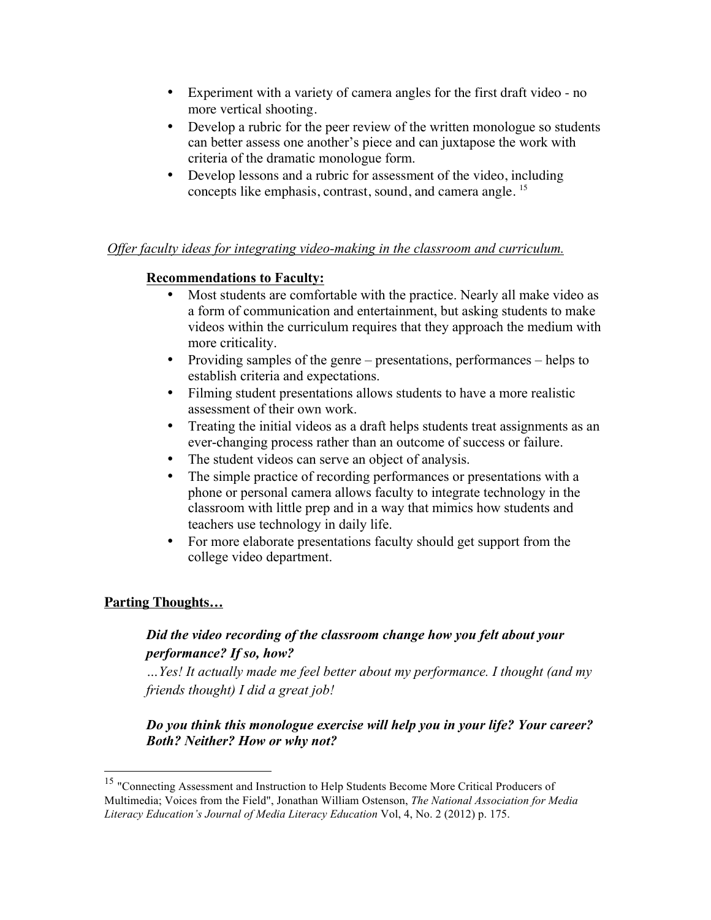- Experiment with a variety of camera angles for the first draft video no more vertical shooting.
- Develop a rubric for the peer review of the written monologue so students can better assess one another's piece and can juxtapose the work with criteria of the dramatic monologue form.
- Develop lessons and a rubric for assessment of the video, including concepts like emphasis, contrast, sound, and camera angle.<sup>15</sup>

### *Offer faculty ideas for integrating video-making in the classroom and curriculum.*

### **Recommendations to Faculty:**

- Most students are comfortable with the practice. Nearly all make video as a form of communication and entertainment, but asking students to make videos within the curriculum requires that they approach the medium with more criticality.
- Providing samples of the genre presentations, performances helps to establish criteria and expectations.
- Filming student presentations allows students to have a more realistic assessment of their own work.
- Treating the initial videos as a draft helps students treat assignments as an ever-changing process rather than an outcome of success or failure.
- The student videos can serve an object of analysis.
- The simple practice of recording performances or presentations with a phone or personal camera allows faculty to integrate technology in the classroom with little prep and in a way that mimics how students and teachers use technology in daily life.
- For more elaborate presentations faculty should get support from the college video department.

#### **Parting Thoughts…**

# *Did the video recording of the classroom change how you felt about your performance? If so, how?*

*…Yes! It actually made me feel better about my performance. I thought (and my friends thought) I did a great job!* 

# *Do you think this monologue exercise will help you in your life? Your career? Both? Neither? How or why not?*

<sup>&</sup>lt;sup>15</sup> "Connecting Assessment and Instruction to Help Students Become More Critical Producers of Multimedia; Voices from the Field", Jonathan William Ostenson, *The National Association for Media Literacy Education's Journal of Media Literacy Education* Vol, 4, No. 2 (2012) p. 175.